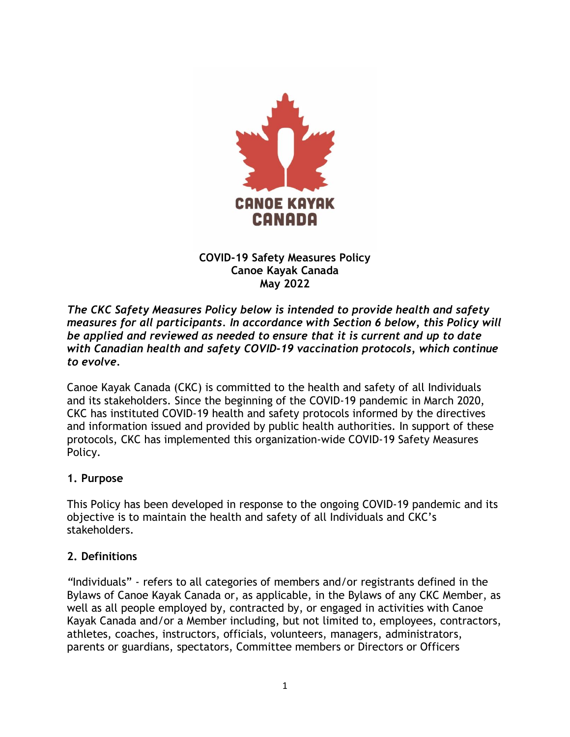

#### **COVID-19 Safety Measures Policy Canoe Kayak Canada May 2022**

*The CKC Safety Measures Policy below is intended to provide health and safety measures for all participants. In accordance with Section 6 below, this Policy will be applied and reviewed as needed to ensure that it is current and up to date with Canadian health and safety COVID-19 vaccination protocols, which continue to evolve.*

Canoe Kayak Canada (CKC) is committed to the health and safety of all Individuals and its stakeholders. Since the beginning of the COVID-19 pandemic in March 2020, CKC has instituted COVID-19 health and safety protocols informed by the directives and information issued and provided by public health authorities. In support of these protocols, CKC has implemented this organization-wide COVID-19 Safety Measures Policy.

### **1. Purpose**

This Policy has been developed in response to the ongoing COVID-19 pandemic and its objective is to maintain the health and safety of all Individuals and CKC's stakeholders.

### **2. Definitions**

*"*Individuals" - refers to all categories of members and/or registrants defined in the Bylaws of Canoe Kayak Canada or, as applicable, in the Bylaws of any CKC Member, as well as all people employed by, contracted by, or engaged in activities with Canoe Kayak Canada and/or a Member including, but not limited to, employees, contractors, athletes, coaches, instructors, officials, volunteers, managers, administrators, parents or guardians, spectators, Committee members or Directors or Officers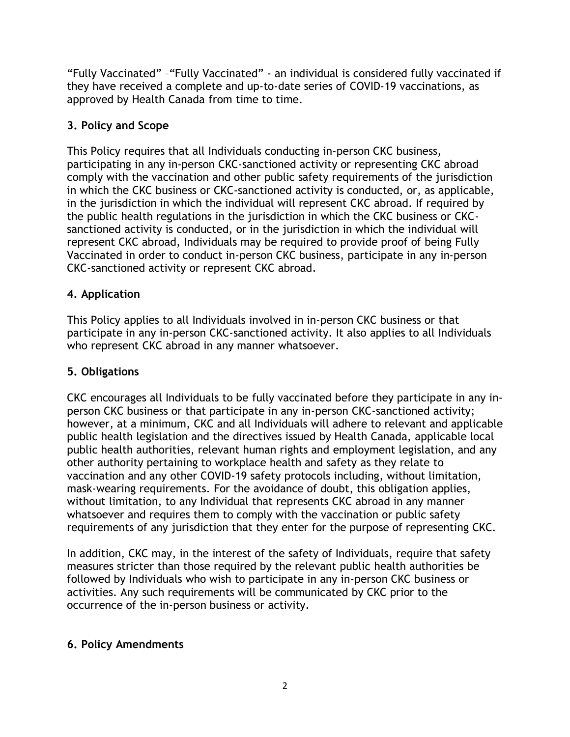"Fully Vaccinated" –"Fully Vaccinated" - an individual is considered fully vaccinated if they have received a complete and up-to-date series of COVID-19 vaccinations, as approved by Health Canada from time to time.

# **3. Policy and Scope**

This Policy requires that all Individuals conducting in-person CKC business, participating in any in-person CKC-sanctioned activity or representing CKC abroad comply with the vaccination and other public safety requirements of the jurisdiction in which the CKC business or CKC-sanctioned activity is conducted, or, as applicable, in the jurisdiction in which the individual will represent CKC abroad. If required by the public health regulations in the jurisdiction in which the CKC business or CKCsanctioned activity is conducted, or in the jurisdiction in which the individual will represent CKC abroad, Individuals may be required to provide proof of being Fully Vaccinated in order to conduct in-person CKC business, participate in any in-person CKC-sanctioned activity or represent CKC abroad.

## **4. Application**

This Policy applies to all Individuals involved in in-person CKC business or that participate in any in-person CKC-sanctioned activity. It also applies to all Individuals who represent CKC abroad in any manner whatsoever.

### **5. Obligations**

CKC encourages all Individuals to be fully vaccinated before they participate in any inperson CKC business or that participate in any in-person CKC-sanctioned activity; however, at a minimum, CKC and all Individuals will adhere to relevant and applicable public health legislation and the directives issued by Health Canada, applicable local public health authorities, relevant human rights and employment legislation, and any other authority pertaining to workplace health and safety as they relate to vaccination and any other COVID-19 safety protocols including, without limitation, mask-wearing requirements. For the avoidance of doubt, this obligation applies, without limitation, to any Individual that represents CKC abroad in any manner whatsoever and requires them to comply with the vaccination or public safety requirements of any jurisdiction that they enter for the purpose of representing CKC.

In addition, CKC may, in the interest of the safety of Individuals, require that safety measures stricter than those required by the relevant public health authorities be followed by Individuals who wish to participate in any in-person CKC business or activities. Any such requirements will be communicated by CKC prior to the occurrence of the in-person business or activity.

### **6. Policy Amendments**